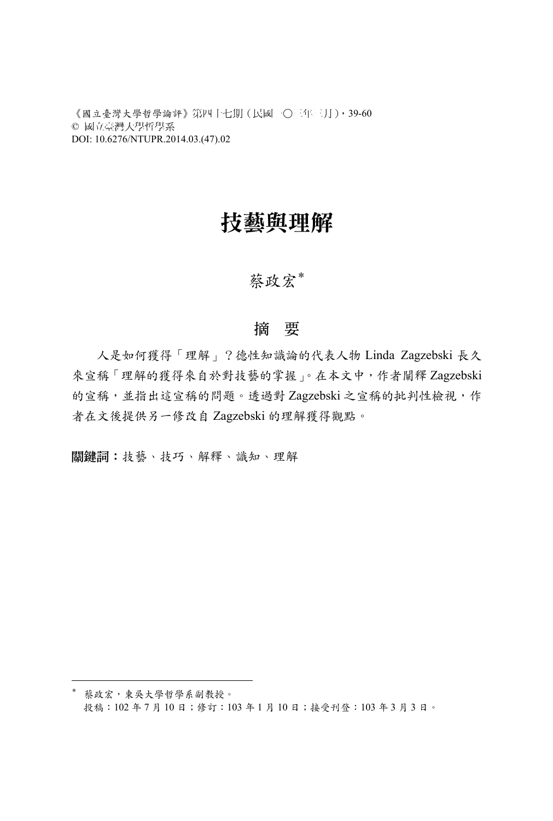《國立臺灣大學哲學論評》第四十七期(民國一○三年三月),39-60 © 國立臺灣大學哲學系 DOI: 10.6276/NTUPR.2014.03.(47).02

# 技藝與理解

### 蔡政宏\*

#### 摘 要

人是如何獲得「理解」?德性知識論的代表人物 Linda Zagzebski 長久 來宣稱「理解的獲得來自於對技藝的掌握」。在本文中,作者闡釋 Zagzebski 的宣稱,並指出這宣稱的問題。透過對 Zagzebski 之宣稱的批判性檢視,作 者在文後提供另一修改自 Zagzebski 的理解獲得觀點。

關鍵詞:技藝、技巧、解釋、識知、理解

 $\overline{a}$ 

<sup>\*</sup> 蔡政宏,東吳大學哲學系副教授。 投稿:102 年 7 月 10 日;修訂:103 年 1 月 10 日;接受刊登:103 年 3 月 3 日。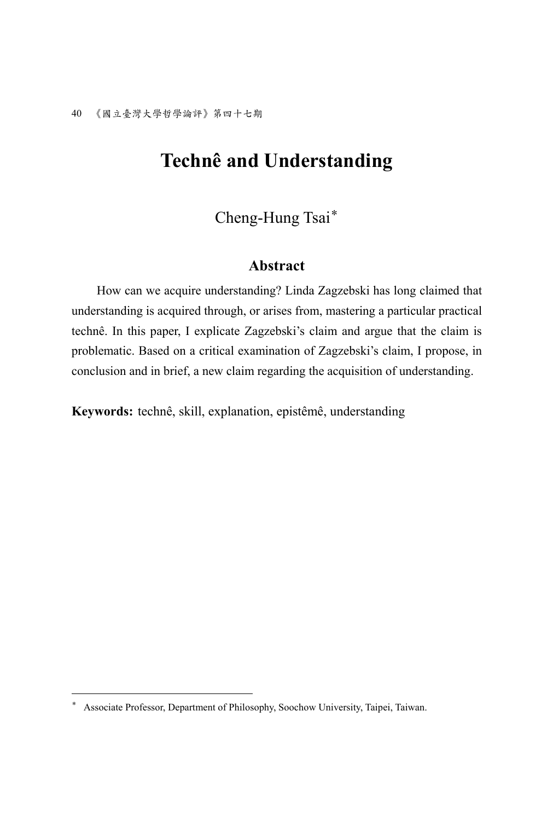# **Technê and Understanding**

Cheng-Hung Tsai\*

#### **Abstract**

How can we acquire understanding? Linda Zagzebski has long claimed that understanding is acquired through, or arises from, mastering a particular practical technê. In this paper, I explicate Zagzebski's claim and argue that the claim is problematic. Based on a critical examination of Zagzebski's claim, I propose, in conclusion and in brief, a new claim regarding the acquisition of understanding.

**Keywords:** technê, skill, explanation, epistêmê, understanding

 $\overline{a}$ 

<sup>\*</sup> Associate Professor, Department of Philosophy, Soochow University, Taipei, Taiwan.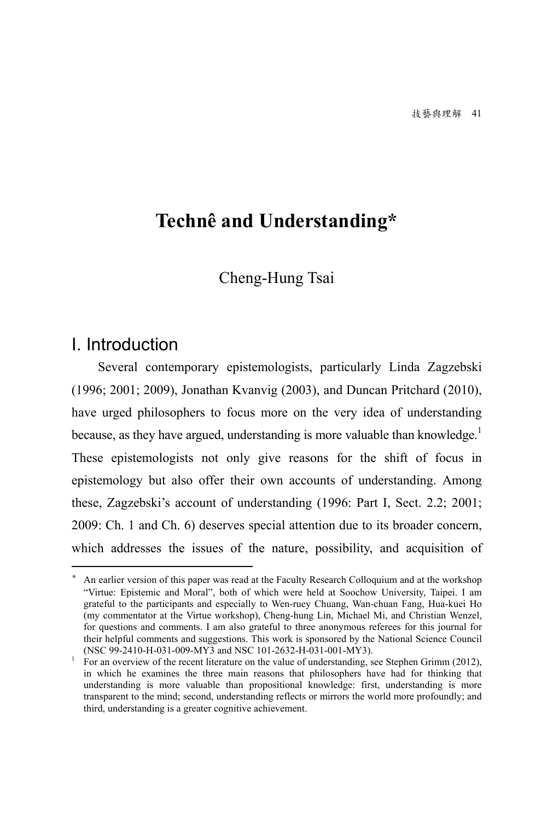# **Technê and Understanding\***

Cheng-Hung Tsai

### I. Introduction

 $\overline{a}$ 

Several contemporary epistemologists, particularly Linda Zagzebski (1996; 2001; 2009), Jonathan Kvanvig (2003), and Duncan Pritchard (2010), have urged philosophers to focus more on the very idea of understanding because, as they have argued, understanding is more valuable than knowledge.<sup>1</sup> These epistemologists not only give reasons for the shift of focus in epistemology but also offer their own accounts of understanding. Among these, Zagzebski's account of understanding (1996: Part I, Sect. 2.2; 2001; 2009: Ch. 1 and Ch. 6) deserves special attention due to its broader concern, which addresses the issues of the nature, possibility, and acquisition of

<sup>\*</sup> An earlier version of this paper was read at the Faculty Research Colloquium and at the workshop "Virtue: Epistemic and Moral", both of which were held at Soochow University, Taipei. I am grateful to the participants and especially to Wen-ruey Chuang, Wan-chuan Fang, Hua-kuei Ho (my commentator at the Virtue workshop), Cheng-hung Lin, Michael Mi, and Christian Wenzel, for questions and comments. I am also grateful to three anonymous referees for this journal for their helpful comments and suggestions. This work is sponsored by the National Science Council (NSC 99-2410-H-031-009-MY3 and NSC 101-2632-H-031-001-MY3).

<sup>1</sup> For an overview of the recent literature on the value of understanding, see Stephen Grimm (2012), in which he examines the three main reasons that philosophers have had for thinking that understanding is more valuable than propositional knowledge: first, understanding is more transparent to the mind; second, understanding reflects or mirrors the world more profoundly; and third, understanding is a greater cognitive achievement.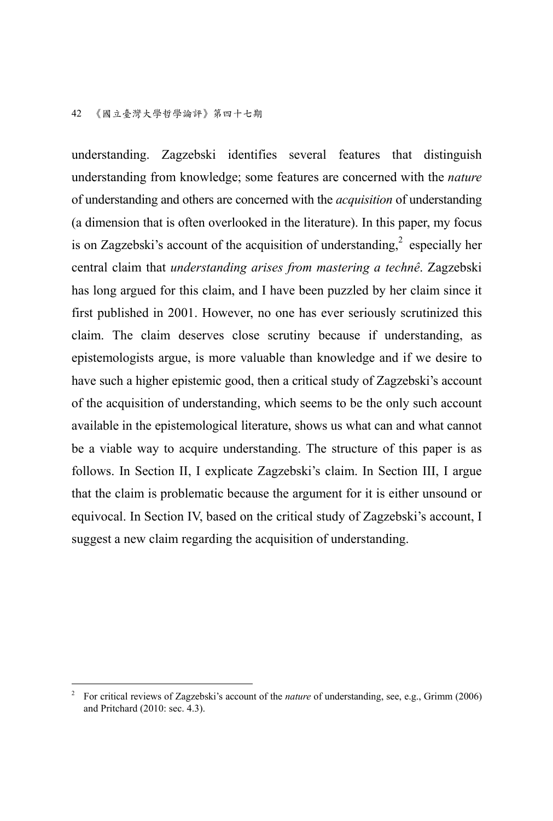understanding. Zagzebski identifies several features that distinguish understanding from knowledge; some features are concerned with the *nature* of understanding and others are concerned with the *acquisition* of understanding (a dimension that is often overlooked in the literature). In this paper, my focus is on Zagzebski's account of the acquisition of understanding, $^{2}$  especially her central claim that *understanding arises from mastering a technê*. Zagzebski has long argued for this claim, and I have been puzzled by her claim since it first published in 2001. However, no one has ever seriously scrutinized this claim. The claim deserves close scrutiny because if understanding, as epistemologists argue, is more valuable than knowledge and if we desire to have such a higher epistemic good, then a critical study of Zagzebski's account of the acquisition of understanding, which seems to be the only such account available in the epistemological literature, shows us what can and what cannot be a viable way to acquire understanding. The structure of this paper is as follows. In Section II, I explicate Zagzebski's claim. In Section III, I argue that the claim is problematic because the argument for it is either unsound or equivocal. In Section IV, based on the critical study of Zagzebski's account, I suggest a new claim regarding the acquisition of understanding.

 $\frac{1}{2}$  For critical reviews of Zagzebski's account of the *nature* of understanding, see, e.g., Grimm (2006) and Pritchard (2010: sec. 4.3).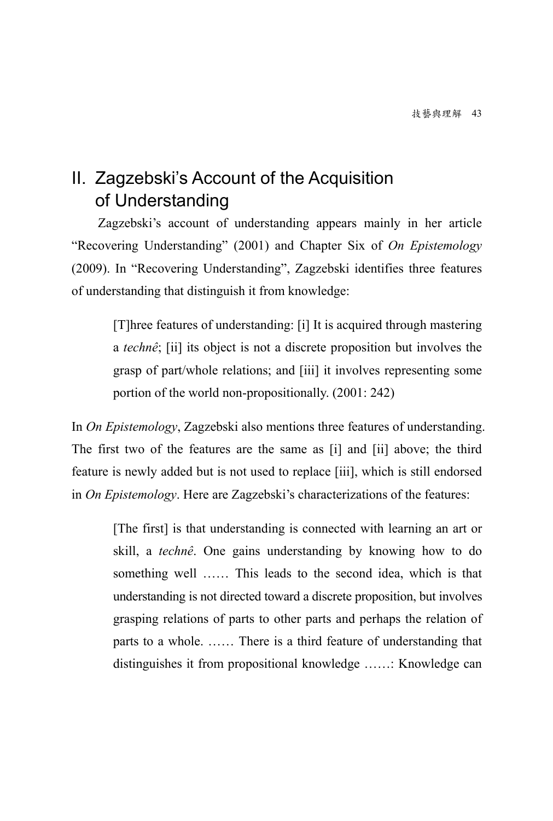# II. Zagzebski's Account of the Acquisition of Understanding

Zagzebski's account of understanding appears mainly in her article "Recovering Understanding" (2001) and Chapter Six of *On Epistemology* (2009). In "Recovering Understanding", Zagzebski identifies three features of understanding that distinguish it from knowledge:

[T]hree features of understanding: [i] It is acquired through mastering a *technê*; [ii] its object is not a discrete proposition but involves the grasp of part/whole relations; and [iii] it involves representing some portion of the world non-propositionally. (2001: 242)

In *On Epistemology*, Zagzebski also mentions three features of understanding. The first two of the features are the same as [i] and [ii] above; the third feature is newly added but is not used to replace [iii], which is still endorsed in *On Epistemology*. Here are Zagzebski's characterizations of the features:

[The first] is that understanding is connected with learning an art or skill, a *technê*. One gains understanding by knowing how to do something well …… This leads to the second idea, which is that understanding is not directed toward a discrete proposition, but involves grasping relations of parts to other parts and perhaps the relation of parts to a whole. …… There is a third feature of understanding that distinguishes it from propositional knowledge ……: Knowledge can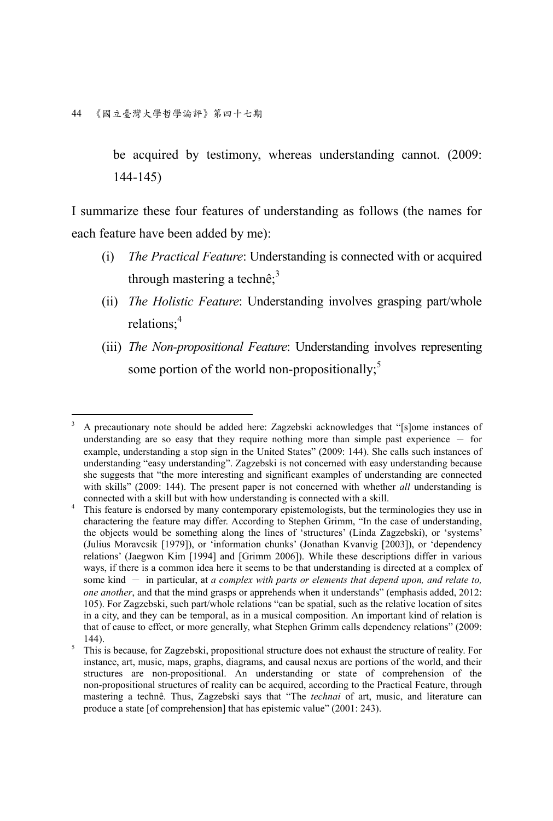44 《國立臺灣大學哲學論評》第四十七期

be acquired by testimony, whereas understanding cannot. (2009: 144-145)

I summarize these four features of understanding as follows (the names for each feature have been added by me):

- (i) *The Practical Feature*: Understanding is connected with or acquired through mastering a technê $\cdot$ <sup>3</sup>
- (ii) *The Holistic Feature*: Understanding involves grasping part/whole relations;<sup>4</sup>
- (iii) *The Non-propositional Feature*: Understanding involves representing some portion of the world non-propositionally;<sup>5</sup>

 $\overline{a}$ 3 A precautionary note should be added here: Zagzebski acknowledges that "[s]ome instances of understanding are so easy that they require nothing more than simple past experience  $-$  for example, understanding a stop sign in the United States" (2009: 144). She calls such instances of understanding "easy understanding". Zagzebski is not concerned with easy understanding because she suggests that "the more interesting and significant examples of understanding are connected with skills" (2009: 144). The present paper is not concerned with whether *all* understanding is connected with a skill but with how understanding is connected with a skill. 4

This feature is endorsed by many contemporary epistemologists, but the terminologies they use in charactering the feature may differ. According to Stephen Grimm, "In the case of understanding, the objects would be something along the lines of 'structures' (Linda Zagzebski), or 'systems' (Julius Moravcsik [1979]), or 'information chunks' (Jonathan Kvanvig [2003]), or 'dependency relations' (Jaegwon Kim [1994] and [Grimm 2006]). While these descriptions differ in various ways, if there is a common idea here it seems to be that understanding is directed at a complex of some kind - in particular, at *a complex with parts or elements that depend upon, and relate to, one another*, and that the mind grasps or apprehends when it understands" (emphasis added, 2012: 105). For Zagzebski, such part/whole relations "can be spatial, such as the relative location of sites in a city, and they can be temporal, as in a musical composition. An important kind of relation is that of cause to effect, or more generally, what Stephen Grimm calls dependency relations" (2009:  $\frac{144}{5}$ .

This is because, for Zagzebski, propositional structure does not exhaust the structure of reality. For instance, art, music, maps, graphs, diagrams, and causal nexus are portions of the world, and their structures are non-propositional. An understanding or state of comprehension of the non-propositional structures of reality can be acquired, according to the Practical Feature, through mastering a technê. Thus, Zagzebski says that "The *technai* of art, music, and literature can produce a state [of comprehension] that has epistemic value" (2001: 243).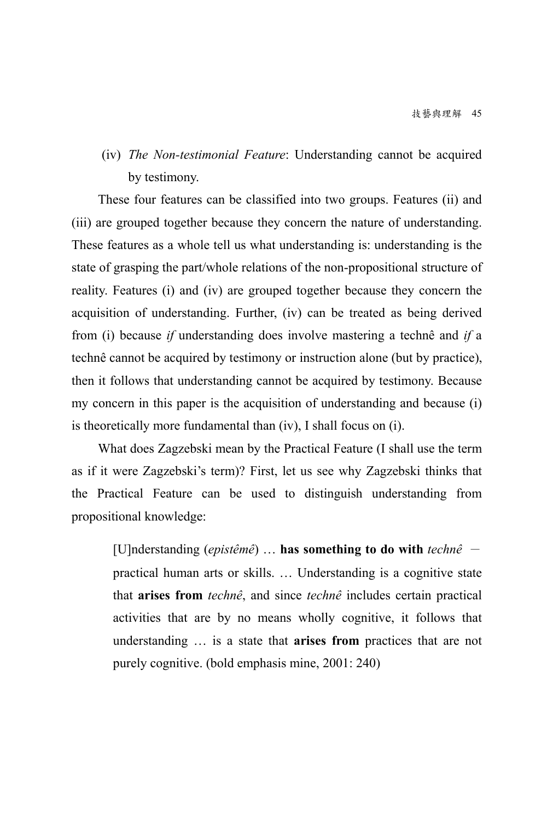(iv) *The Non-testimonial Feature*: Understanding cannot be acquired by testimony.

These four features can be classified into two groups. Features (ii) and (iii) are grouped together because they concern the nature of understanding. These features as a whole tell us what understanding is: understanding is the state of grasping the part/whole relations of the non-propositional structure of reality. Features (i) and (iv) are grouped together because they concern the acquisition of understanding. Further, (iv) can be treated as being derived from (i) because *if* understanding does involve mastering a technê and *if* a technê cannot be acquired by testimony or instruction alone (but by practice), then it follows that understanding cannot be acquired by testimony. Because my concern in this paper is the acquisition of understanding and because (i) is theoretically more fundamental than (iv), I shall focus on (i).

What does Zagzebski mean by the Practical Feature (I shall use the term as if it were Zagzebski's term)? First, let us see why Zagzebski thinks that the Practical Feature can be used to distinguish understanding from propositional knowledge:

[U]nderstanding (*epistêmê*) … **has something to do with** *technê* practical human arts or skills. … Understanding is a cognitive state that **arises from** *technê*, and since *technê* includes certain practical activities that are by no means wholly cognitive, it follows that understanding … is a state that **arises from** practices that are not purely cognitive. (bold emphasis mine, 2001: 240)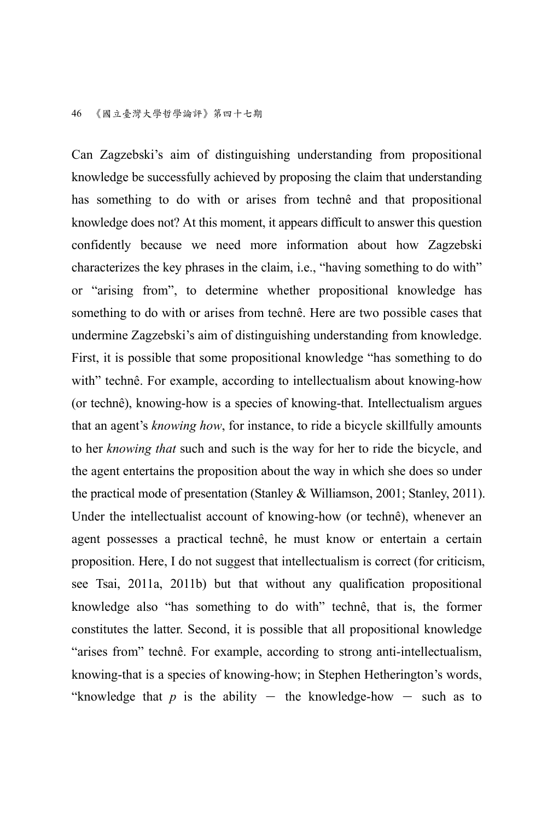Can Zagzebski's aim of distinguishing understanding from propositional knowledge be successfully achieved by proposing the claim that understanding has something to do with or arises from technê and that propositional knowledge does not? At this moment, it appears difficult to answer this question confidently because we need more information about how Zagzebski characterizes the key phrases in the claim, i.e., "having something to do with" or "arising from", to determine whether propositional knowledge has something to do with or arises from technê. Here are two possible cases that undermine Zagzebski's aim of distinguishing understanding from knowledge. First, it is possible that some propositional knowledge "has something to do with" technê. For example, according to intellectualism about knowing-how (or technê), knowing-how is a species of knowing-that. Intellectualism argues that an agent's *knowing how*, for instance, to ride a bicycle skillfully amounts to her *knowing that* such and such is the way for her to ride the bicycle, and the agent entertains the proposition about the way in which she does so under the practical mode of presentation (Stanley & Williamson, 2001; Stanley, 2011). Under the intellectualist account of knowing-how (or technê), whenever an agent possesses a practical technê, he must know or entertain a certain proposition. Here, I do not suggest that intellectualism is correct (for criticism, see Tsai, 2011a, 2011b) but that without any qualification propositional knowledge also "has something to do with" technê, that is, the former constitutes the latter. Second, it is possible that all propositional knowledge "arises from" technê. For example, according to strong anti-intellectualism, knowing-that is a species of knowing-how; in Stephen Hetherington's words, "knowledge that  $p$  is the ability - the knowledge-how - such as to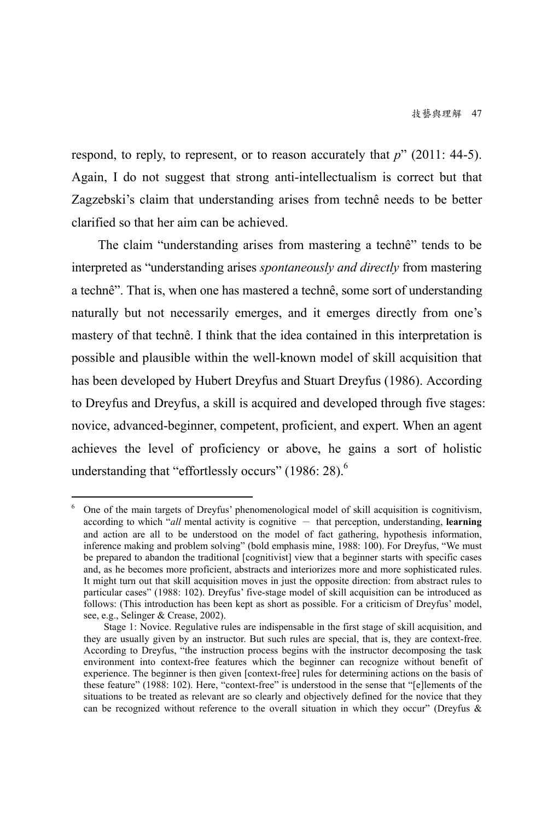respond, to reply, to represent, or to reason accurately that *p*" (2011: 44-5). Again, I do not suggest that strong anti-intellectualism is correct but that Zagzebski's claim that understanding arises from technê needs to be better clarified so that her aim can be achieved.

The claim "understanding arises from mastering a technê" tends to be interpreted as "understanding arises *spontaneously and directly* from mastering a technê". That is, when one has mastered a technê, some sort of understanding naturally but not necessarily emerges, and it emerges directly from one's mastery of that technê. I think that the idea contained in this interpretation is possible and plausible within the well-known model of skill acquisition that has been developed by Hubert Dreyfus and Stuart Dreyfus (1986). According to Dreyfus and Dreyfus, a skill is acquired and developed through five stages: novice, advanced-beginner, competent, proficient, and expert. When an agent achieves the level of proficiency or above, he gains a sort of holistic understanding that "effortlessly occurs" (1986: 28). $<sup>6</sup>$ </sup>

 $\overline{a}$ 

<sup>6</sup> One of the main targets of Dreyfus' phenomenological model of skill acquisition is cognitivism, according to which  $\alpha d\theta$  mental activity is cognitive  $-$  that perception, understanding, **learning** and action are all to be understood on the model of fact gathering, hypothesis information, inference making and problem solving" (bold emphasis mine, 1988: 100). For Dreyfus, "We must be prepared to abandon the traditional [cognitivist] view that a beginner starts with specific cases and, as he becomes more proficient, abstracts and interiorizes more and more sophisticated rules. It might turn out that skill acquisition moves in just the opposite direction: from abstract rules to particular cases" (1988: 102). Dreyfus' five-stage model of skill acquisition can be introduced as follows: (This introduction has been kept as short as possible. For a criticism of Dreyfus' model, see, e.g., Selinger & Crease, 2002).

Stage 1: Novice. Regulative rules are indispensable in the first stage of skill acquisition, and they are usually given by an instructor. But such rules are special, that is, they are context-free. According to Dreyfus, "the instruction process begins with the instructor decomposing the task environment into context-free features which the beginner can recognize without benefit of experience. The beginner is then given [context-free] rules for determining actions on the basis of these feature" (1988: 102). Here, "context-free" is understood in the sense that "[e]lements of the situations to be treated as relevant are so clearly and objectively defined for the novice that they can be recognized without reference to the overall situation in which they occur" (Dreyfus  $\&$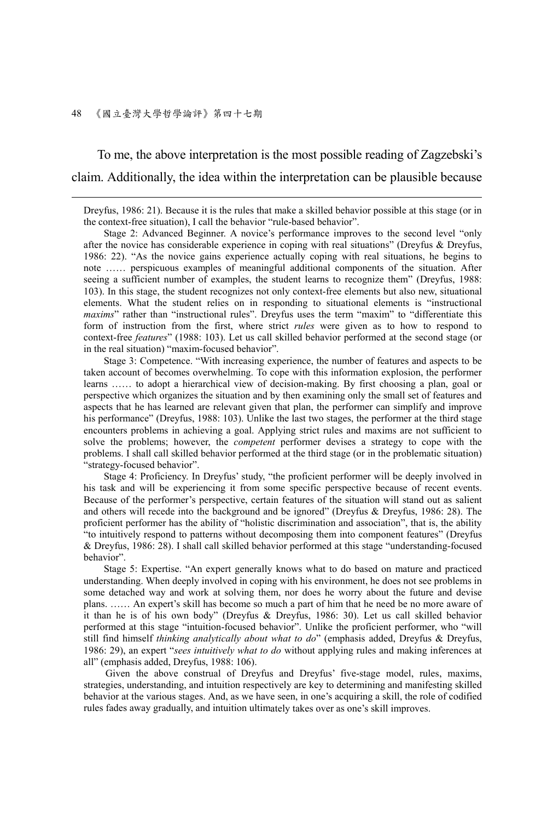#### 48 《國立臺灣大學哲學論評》第四十七期

1

To me, the above interpretation is the most possible reading of Zagzebski's claim. Additionally, the idea within the interpretation can be plausible because

Dreyfus, 1986: 21). Because it is the rules that make a skilled behavior possible at this stage (or in the context-free situation), I call the behavior "rule-based behavior".

 Stage 2: Advanced Beginner. A novice's performance improves to the second level "only after the novice has considerable experience in coping with real situations" (Dreyfus & Dreyfus, 1986: 22). "As the novice gains experience actually coping with real situations, he begins to note …… perspicuous examples of meaningful additional components of the situation. After seeing a sufficient number of examples, the student learns to recognize them" (Dreyfus, 1988: 103). In this stage, the student recognizes not only context-free elements but also new, situational elements. What the student relies on in responding to situational elements is "instructional *maxims*" rather than "instructional rules". Dreyfus uses the term "maxim" to "differentiate this form of instruction from the first, where strict *rules* were given as to how to respond to context-free *features*" (1988: 103). Let us call skilled behavior performed at the second stage (or in the real situation) "maxim-focused behavior".

 Stage 3: Competence. "With increasing experience, the number of features and aspects to be taken account of becomes overwhelming. To cope with this information explosion, the performer learns …… to adopt a hierarchical view of decision-making. By first choosing a plan, goal or perspective which organizes the situation and by then examining only the small set of features and aspects that he has learned are relevant given that plan, the performer can simplify and improve his performance" (Dreyfus, 1988: 103). Unlike the last two stages, the performer at the third stage encounters problems in achieving a goal. Applying strict rules and maxims are not sufficient to solve the problems; however, the *competent* performer devises a strategy to cope with the problems. I shall call skilled behavior performed at the third stage (or in the problematic situation) "strategy-focused behavior".

 Stage 4: Proficiency. In Dreyfus' study, "the proficient performer will be deeply involved in his task and will be experiencing it from some specific perspective because of recent events. Because of the performer's perspective, certain features of the situation will stand out as salient and others will recede into the background and be ignored" (Dreyfus & Dreyfus, 1986: 28). The proficient performer has the ability of "holistic discrimination and association", that is, the ability "to intuitively respond to patterns without decomposing them into component features" (Dreyfus & Dreyfus, 1986: 28). I shall call skilled behavior performed at this stage "understanding-focused behavior".

 Stage 5: Expertise. "An expert generally knows what to do based on mature and practiced understanding. When deeply involved in coping with his environment, he does not see problems in some detached way and work at solving them, nor does he worry about the future and devise plans. …… An expert's skill has become so much a part of him that he need be no more aware of it than he is of his own body" (Dreyfus & Dreyfus, 1986: 30). Let us call skilled behavior performed at this stage "intuition-focused behavior". Unlike the proficient performer, who "will still find himself *thinking analytically about what to do*" (emphasis added, Dreyfus & Dreyfus, 1986: 29), an expert "*sees intuitively what to do* without applying rules and making inferences at all" (emphasis added, Dreyfus, 1988: 106).

 Given the above construal of Dreyfus and Dreyfus' five-stage model, rules, maxims, strategies, understanding, and intuition respectively are key to determining and manifesting skilled behavior at the various stages. And, as we have seen, in one's acquiring a skill, the role of codified rules fades away gradually, and intuition ultimately takes over as one's skill improves.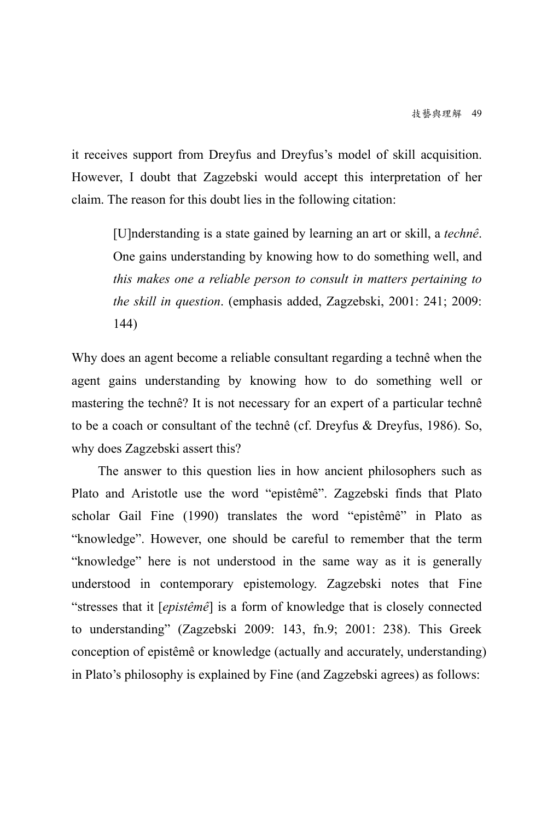it receives support from Dreyfus and Dreyfus's model of skill acquisition. However, I doubt that Zagzebski would accept this interpretation of her claim. The reason for this doubt lies in the following citation:

[U]nderstanding is a state gained by learning an art or skill, a *technê*. One gains understanding by knowing how to do something well, and *this makes one a reliable person to consult in matters pertaining to the skill in question*. (emphasis added, Zagzebski, 2001: 241; 2009: 144)

Why does an agent become a reliable consultant regarding a technê when the agent gains understanding by knowing how to do something well or mastering the technê? It is not necessary for an expert of a particular technê to be a coach or consultant of the technê (cf. Dreyfus & Dreyfus, 1986). So, why does Zagzebski assert this?

The answer to this question lies in how ancient philosophers such as Plato and Aristotle use the word "epistêmê". Zagzebski finds that Plato scholar Gail Fine (1990) translates the word "epistêmê" in Plato as "knowledge". However, one should be careful to remember that the term "knowledge" here is not understood in the same way as it is generally understood in contemporary epistemology. Zagzebski notes that Fine "stresses that it [*epistêmê*] is a form of knowledge that is closely connected to understanding" (Zagzebski 2009: 143, fn.9; 2001: 238). This Greek conception of epistêmê or knowledge (actually and accurately, understanding) in Plato's philosophy is explained by Fine (and Zagzebski agrees) as follows: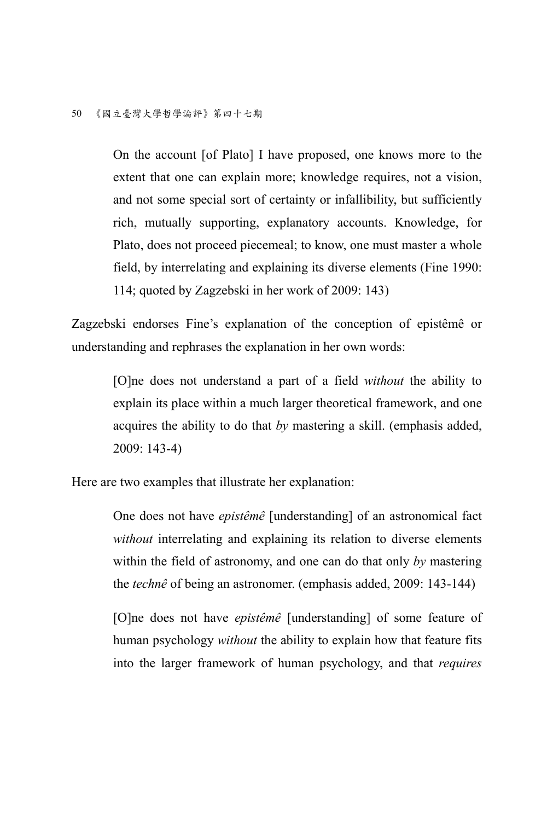On the account [of Plato] I have proposed, one knows more to the extent that one can explain more; knowledge requires, not a vision, and not some special sort of certainty or infallibility, but sufficiently rich, mutually supporting, explanatory accounts. Knowledge, for Plato, does not proceed piecemeal; to know, one must master a whole field, by interrelating and explaining its diverse elements (Fine 1990: 114; quoted by Zagzebski in her work of 2009: 143)

Zagzebski endorses Fine's explanation of the conception of epistêmê or understanding and rephrases the explanation in her own words:

[O]ne does not understand a part of a field *without* the ability to explain its place within a much larger theoretical framework, and one acquires the ability to do that *by* mastering a skill. (emphasis added, 2009: 143-4)

Here are two examples that illustrate her explanation:

One does not have *epistêmê* [understanding] of an astronomical fact *without* interrelating and explaining its relation to diverse elements within the field of astronomy, and one can do that only *by* mastering the *technê* of being an astronomer. (emphasis added, 2009: 143-144)

[O]ne does not have *epistêmê* [understanding] of some feature of human psychology *without* the ability to explain how that feature fits into the larger framework of human psychology, and that *requires*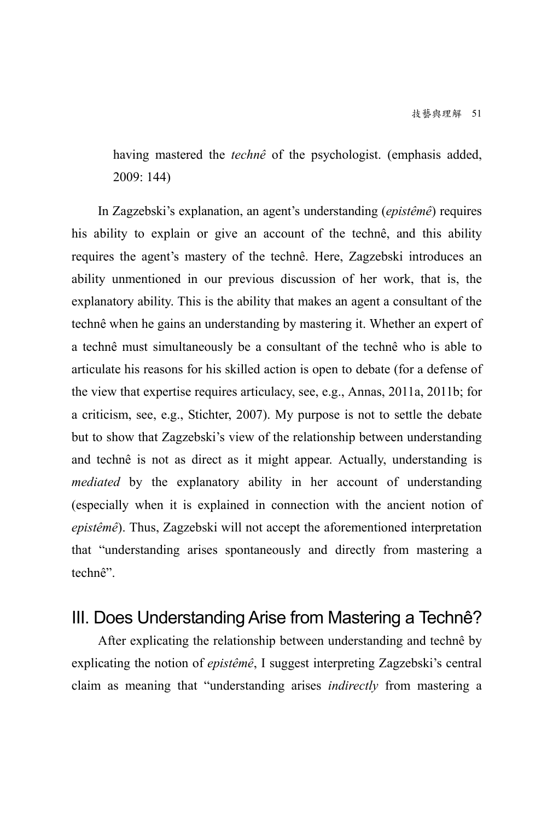having mastered the *technê* of the psychologist. (emphasis added, 2009: 144)

In Zagzebski's explanation, an agent's understanding (*epistêmê*) requires his ability to explain or give an account of the technê, and this ability requires the agent's mastery of the technê. Here, Zagzebski introduces an ability unmentioned in our previous discussion of her work, that is, the explanatory ability. This is the ability that makes an agent a consultant of the technê when he gains an understanding by mastering it. Whether an expert of a technê must simultaneously be a consultant of the technê who is able to articulate his reasons for his skilled action is open to debate (for a defense of the view that expertise requires articulacy, see, e.g., Annas, 2011a, 2011b; for a criticism, see, e.g., Stichter, 2007). My purpose is not to settle the debate but to show that Zagzebski's view of the relationship between understanding and technê is not as direct as it might appear. Actually, understanding is *mediated* by the explanatory ability in her account of understanding (especially when it is explained in connection with the ancient notion of *epistêmê*). Thus, Zagzebski will not accept the aforementioned interpretation that "understanding arises spontaneously and directly from mastering a technê".

### III. Does Understanding Arise from Mastering a Technê?

After explicating the relationship between understanding and technê by explicating the notion of *epistêmê*, I suggest interpreting Zagzebski's central claim as meaning that "understanding arises *indirectly* from mastering a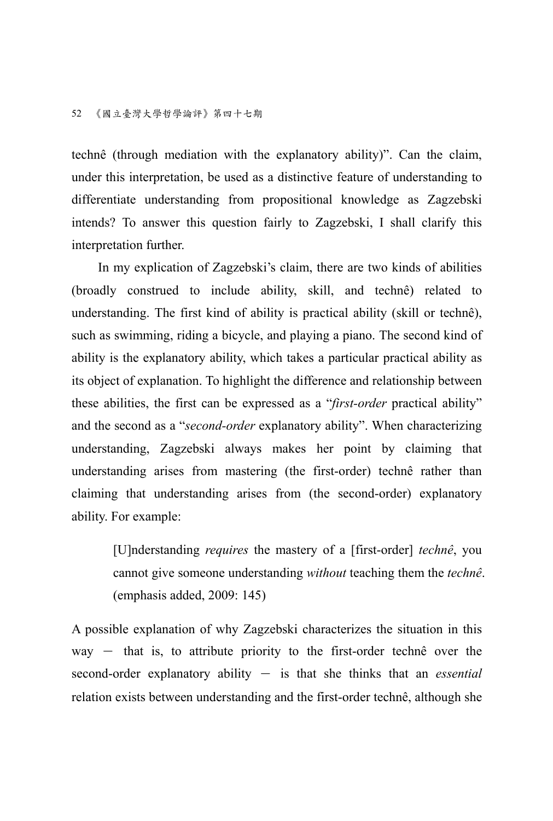technê (through mediation with the explanatory ability)". Can the claim, under this interpretation, be used as a distinctive feature of understanding to differentiate understanding from propositional knowledge as Zagzebski intends? To answer this question fairly to Zagzebski, I shall clarify this interpretation further.

In my explication of Zagzebski's claim, there are two kinds of abilities (broadly construed to include ability, skill, and technê) related to understanding. The first kind of ability is practical ability (skill or technê), such as swimming, riding a bicycle, and playing a piano. The second kind of ability is the explanatory ability, which takes a particular practical ability as its object of explanation. To highlight the difference and relationship between these abilities, the first can be expressed as a "*first-order* practical ability" and the second as a "*second-order* explanatory ability". When characterizing understanding, Zagzebski always makes her point by claiming that understanding arises from mastering (the first-order) technê rather than claiming that understanding arises from (the second-order) explanatory ability. For example:

[U]nderstanding *requires* the mastery of a [first-order] *technê*, you cannot give someone understanding *without* teaching them the *technê*. (emphasis added, 2009: 145)

A possible explanation of why Zagzebski characterizes the situation in this  $way - that is, to attribute priority to the first-order techné over the$ second-order explanatory ability - is that she thinks that an *essential* relation exists between understanding and the first-order technê, although she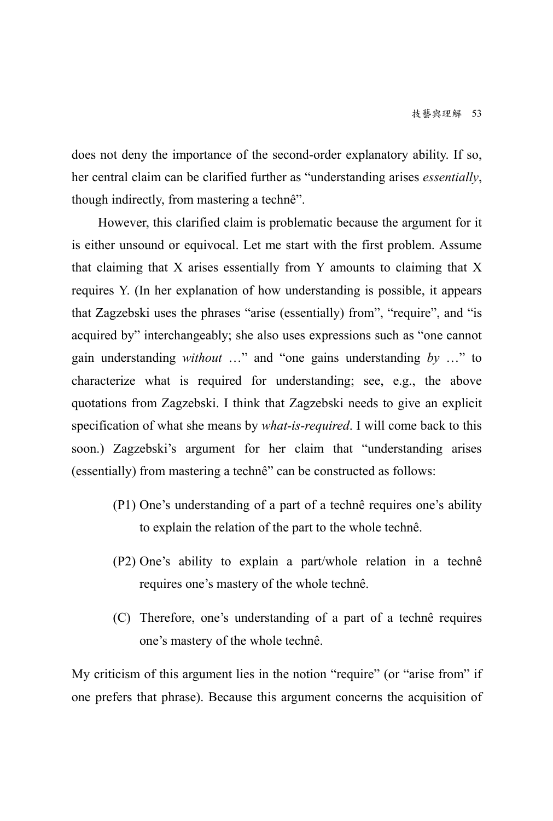does not deny the importance of the second-order explanatory ability. If so, her central claim can be clarified further as "understanding arises *essentially*, though indirectly, from mastering a technê".

However, this clarified claim is problematic because the argument for it is either unsound or equivocal. Let me start with the first problem. Assume that claiming that X arises essentially from Y amounts to claiming that X requires Y. (In her explanation of how understanding is possible, it appears that Zagzebski uses the phrases "arise (essentially) from", "require", and "is acquired by" interchangeably; she also uses expressions such as "one cannot gain understanding *without* …" and "one gains understanding *by* …" to characterize what is required for understanding; see, e.g., the above quotations from Zagzebski. I think that Zagzebski needs to give an explicit specification of what she means by *what-is-required*. I will come back to this soon.) Zagzebski's argument for her claim that "understanding arises (essentially) from mastering a technê" can be constructed as follows:

- (P1) One's understanding of a part of a technê requires one's ability to explain the relation of the part to the whole technê.
- (P2) One's ability to explain a part/whole relation in a technê requires one's mastery of the whole technê.
- (C) Therefore, one's understanding of a part of a technê requires one's mastery of the whole technê.

My criticism of this argument lies in the notion "require" (or "arise from" if one prefers that phrase). Because this argument concerns the acquisition of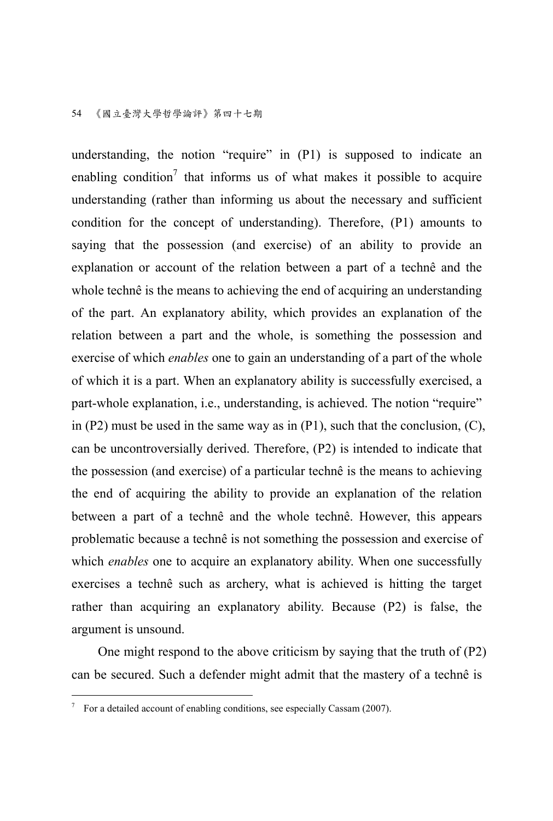understanding, the notion "require" in (P1) is supposed to indicate an enabling condition<sup>7</sup> that informs us of what makes it possible to acquire understanding (rather than informing us about the necessary and sufficient condition for the concept of understanding). Therefore, (P1) amounts to saying that the possession (and exercise) of an ability to provide an explanation or account of the relation between a part of a technê and the whole technê is the means to achieving the end of acquiring an understanding of the part. An explanatory ability, which provides an explanation of the relation between a part and the whole, is something the possession and exercise of which *enables* one to gain an understanding of a part of the whole of which it is a part. When an explanatory ability is successfully exercised, a part-whole explanation, i.e., understanding, is achieved. The notion "require" in  $(P2)$  must be used in the same way as in  $(P1)$ , such that the conclusion,  $(C)$ , can be uncontroversially derived. Therefore, (P2) is intended to indicate that the possession (and exercise) of a particular technê is the means to achieving the end of acquiring the ability to provide an explanation of the relation between a part of a technê and the whole technê. However, this appears problematic because a technê is not something the possession and exercise of which *enables* one to acquire an explanatory ability. When one successfully exercises a technê such as archery, what is achieved is hitting the target rather than acquiring an explanatory ability. Because (P2) is false, the argument is unsound.

One might respond to the above criticism by saying that the truth of (P2) can be secured. Such a defender might admit that the mastery of a technê is

 7 For a detailed account of enabling conditions, see especially Cassam (2007).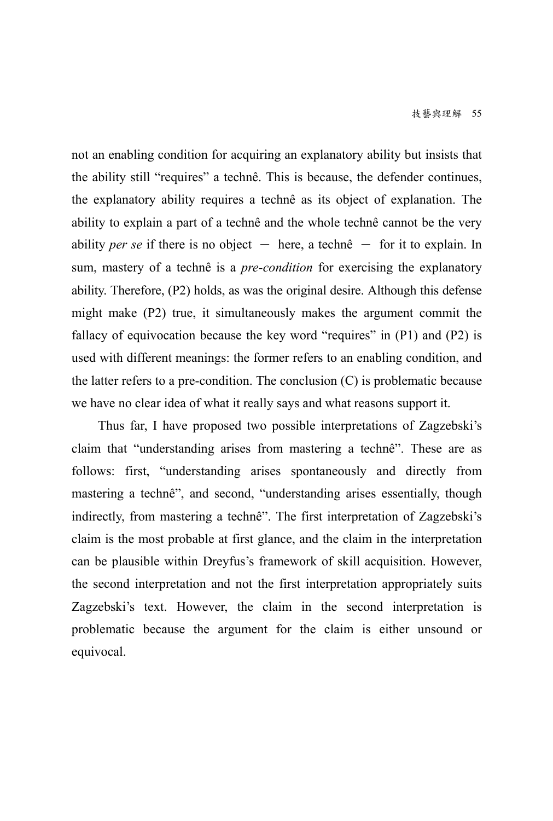not an enabling condition for acquiring an explanatory ability but insists that the ability still "requires" a technê. This is because, the defender continues, the explanatory ability requires a technê as its object of explanation. The ability to explain a part of a technê and the whole technê cannot be the very ability *per se* if there is no object  $-$  here, a technê  $-$  for it to explain. In sum, mastery of a technê is a *pre-condition* for exercising the explanatory ability. Therefore, (P2) holds, as was the original desire. Although this defense might make (P2) true, it simultaneously makes the argument commit the fallacy of equivocation because the key word "requires" in (P1) and (P2) is used with different meanings: the former refers to an enabling condition, and the latter refers to a pre-condition. The conclusion  $(C)$  is problematic because we have no clear idea of what it really says and what reasons support it.

Thus far, I have proposed two possible interpretations of Zagzebski's claim that "understanding arises from mastering a technê". These are as follows: first, "understanding arises spontaneously and directly from mastering a technê", and second, "understanding arises essentially, though indirectly, from mastering a technê". The first interpretation of Zagzebski's claim is the most probable at first glance, and the claim in the interpretation can be plausible within Dreyfus's framework of skill acquisition. However, the second interpretation and not the first interpretation appropriately suits Zagzebski's text. However, the claim in the second interpretation is problematic because the argument for the claim is either unsound or equivocal.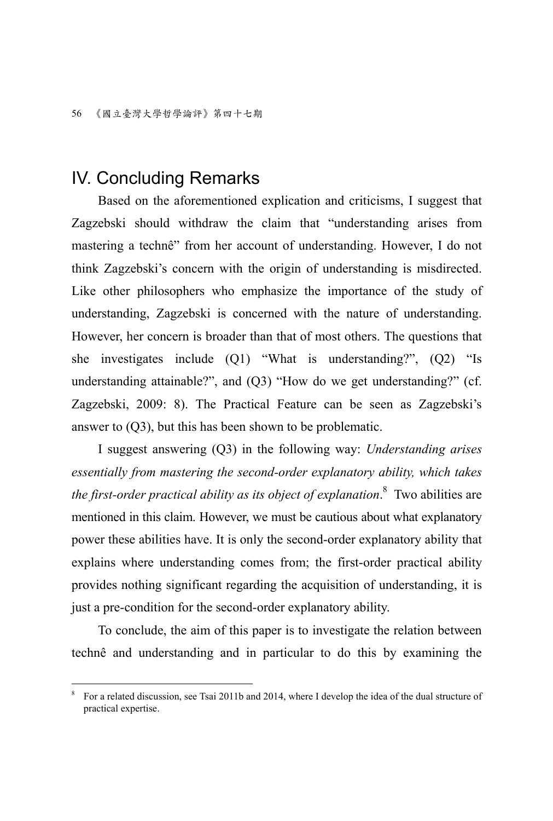### IV. Concluding Remarks

 $\overline{a}$ 

Based on the aforementioned explication and criticisms, I suggest that Zagzebski should withdraw the claim that "understanding arises from mastering a technê" from her account of understanding. However, I do not think Zagzebski's concern with the origin of understanding is misdirected. Like other philosophers who emphasize the importance of the study of understanding, Zagzebski is concerned with the nature of understanding. However, her concern is broader than that of most others. The questions that she investigates include (Q1) "What is understanding?", (Q2) "Is understanding attainable?", and (Q3) "How do we get understanding?" (cf. Zagzebski, 2009: 8). The Practical Feature can be seen as Zagzebski's answer to (Q3), but this has been shown to be problematic.

I suggest answering (Q3) in the following way: *Understanding arises essentially from mastering the second-order explanatory ability, which takes the first-order practical ability as its object of explanation*. 8 Two abilities are mentioned in this claim. However, we must be cautious about what explanatory power these abilities have. It is only the second-order explanatory ability that explains where understanding comes from; the first-order practical ability provides nothing significant regarding the acquisition of understanding, it is just a pre-condition for the second-order explanatory ability.

To conclude, the aim of this paper is to investigate the relation between technê and understanding and in particular to do this by examining the

<sup>8</sup> For a related discussion, see Tsai 2011b and 2014, where I develop the idea of the dual structure of practical expertise.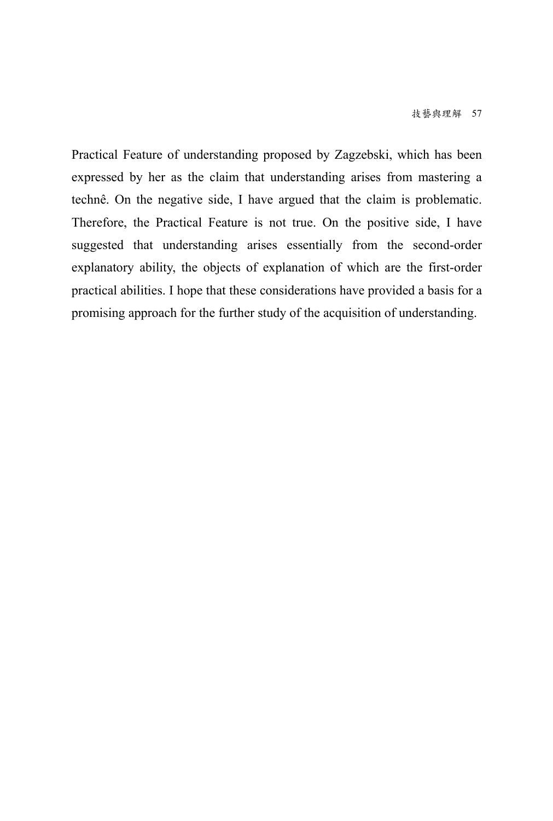Practical Feature of understanding proposed by Zagzebski, which has been expressed by her as the claim that understanding arises from mastering a technê. On the negative side, I have argued that the claim is problematic. Therefore, the Practical Feature is not true. On the positive side, I have suggested that understanding arises essentially from the second-order explanatory ability, the objects of explanation of which are the first-order practical abilities. I hope that these considerations have provided a basis for a promising approach for the further study of the acquisition of understanding.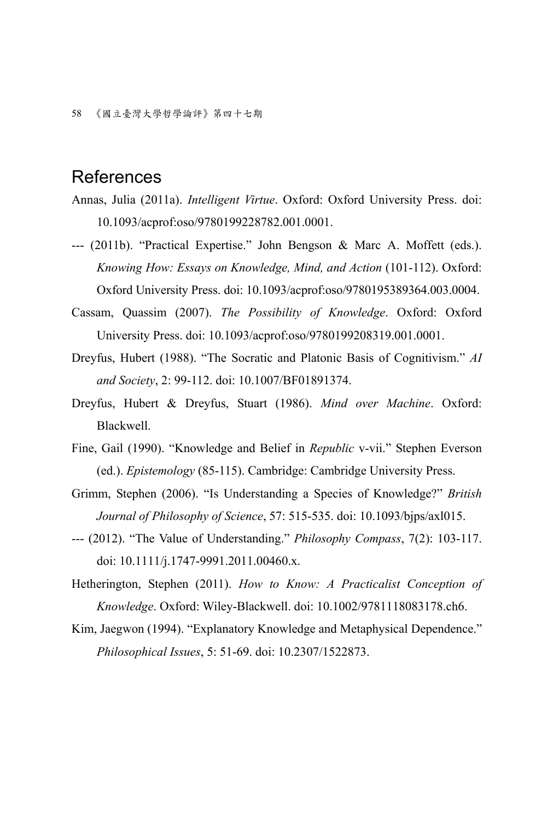## References

- Annas, Julia (2011a). *Intelligent Virtue*. Oxford: Oxford University Press. doi: 10.1093/acprof:oso/9780199228782.001.0001.
- --- (2011b). "Practical Expertise." John Bengson & Marc A. Moffett (eds.). *Knowing How: Essays on Knowledge, Mind, and Action* (101-112). Oxford: Oxford University Press. doi: 10.1093/acprof:oso/9780195389364.003.0004.
- Cassam, Quassim (2007). *The Possibility of Knowledge*. Oxford: Oxford University Press. doi: 10.1093/acprof:oso/9780199208319.001.0001.
- Dreyfus, Hubert (1988). "The Socratic and Platonic Basis of Cognitivism." *AI and Society*, 2: 99-112. doi: 10.1007/BF01891374.
- Dreyfus, Hubert & Dreyfus, Stuart (1986). *Mind over Machine*. Oxford: Blackwell.
- Fine, Gail (1990). "Knowledge and Belief in *Republic* v-vii." Stephen Everson (ed.). *Epistemology* (85-115). Cambridge: Cambridge University Press.
- Grimm, Stephen (2006). "Is Understanding a Species of Knowledge?" *British Journal of Philosophy of Science*, 57: 515-535. doi: 10.1093/bjps/axl015.
- --- (2012). "The Value of Understanding." *Philosophy Compass*, 7(2): 103-117. doi: 10.1111/j.1747-9991.2011.00460.x.
- Hetherington, Stephen (2011). *How to Know: A Practicalist Conception of Knowledge*. Oxford: Wiley-Blackwell. doi: 10.1002/9781118083178.ch6.
- Kim, Jaegwon (1994). "Explanatory Knowledge and Metaphysical Dependence." *Philosophical Issues*, 5: 51-69. doi: 10.2307/1522873.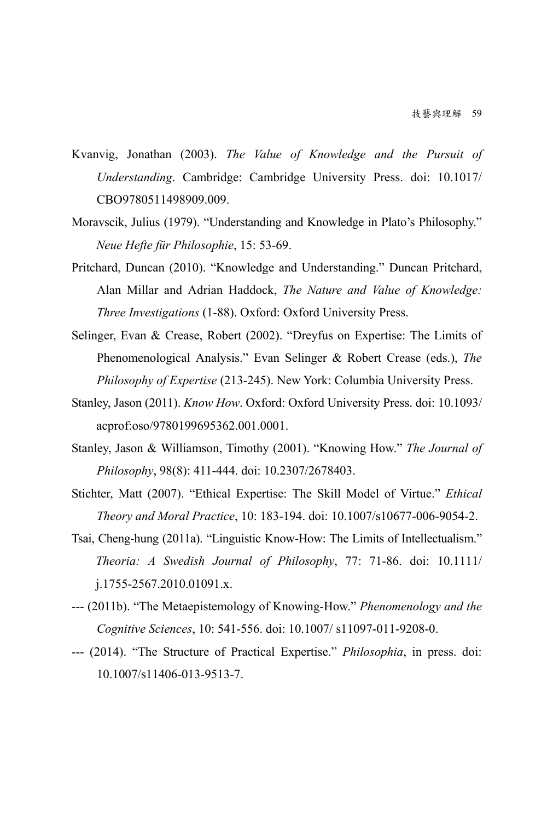- Kvanvig, Jonathan (2003). *The Value of Knowledge and the Pursuit of Understanding*. Cambridge: Cambridge University Press. doi: 10.1017/ CBO9780511498909.009.
- Moravscik, Julius (1979). "Understanding and Knowledge in Plato's Philosophy." *Neue Hefte für Philosophie*, 15: 53-69.
- Pritchard, Duncan (2010). "Knowledge and Understanding." Duncan Pritchard, Alan Millar and Adrian Haddock, *The Nature and Value of Knowledge: Three Investigations* (1-88). Oxford: Oxford University Press.
- Selinger, Evan & Crease, Robert (2002). "Dreyfus on Expertise: The Limits of Phenomenological Analysis." Evan Selinger & Robert Crease (eds.), *The Philosophy of Expertise* (213-245). New York: Columbia University Press.
- Stanley, Jason (2011). *Know How*. Oxford: Oxford University Press. doi: 10.1093/ acprof:oso/9780199695362.001.0001.
- Stanley, Jason & Williamson, Timothy (2001). "Knowing How." *The Journal of Philosophy*, 98(8): 411-444. doi: 10.2307/2678403.
- Stichter, Matt (2007). "Ethical Expertise: The Skill Model of Virtue." *Ethical Theory and Moral Practice*, 10: 183-194. doi: 10.1007/s10677-006-9054-2.
- Tsai, Cheng-hung (2011a). "Linguistic Know-How: The Limits of Intellectualism." *Theoria: A Swedish Journal of Philosophy*, 77: 71-86. doi: 10.1111/ j.1755-2567.2010.01091.x.
- --- (2011b). "The Metaepistemology of Knowing-How." *Phenomenology and the Cognitive Sciences*, 10: 541-556. doi: 10.1007/ s11097-011-9208-0.
- --- (2014). "The Structure of Practical Expertise." *Philosophia*, in press. doi: 10.1007/s11406-013-9513-7.